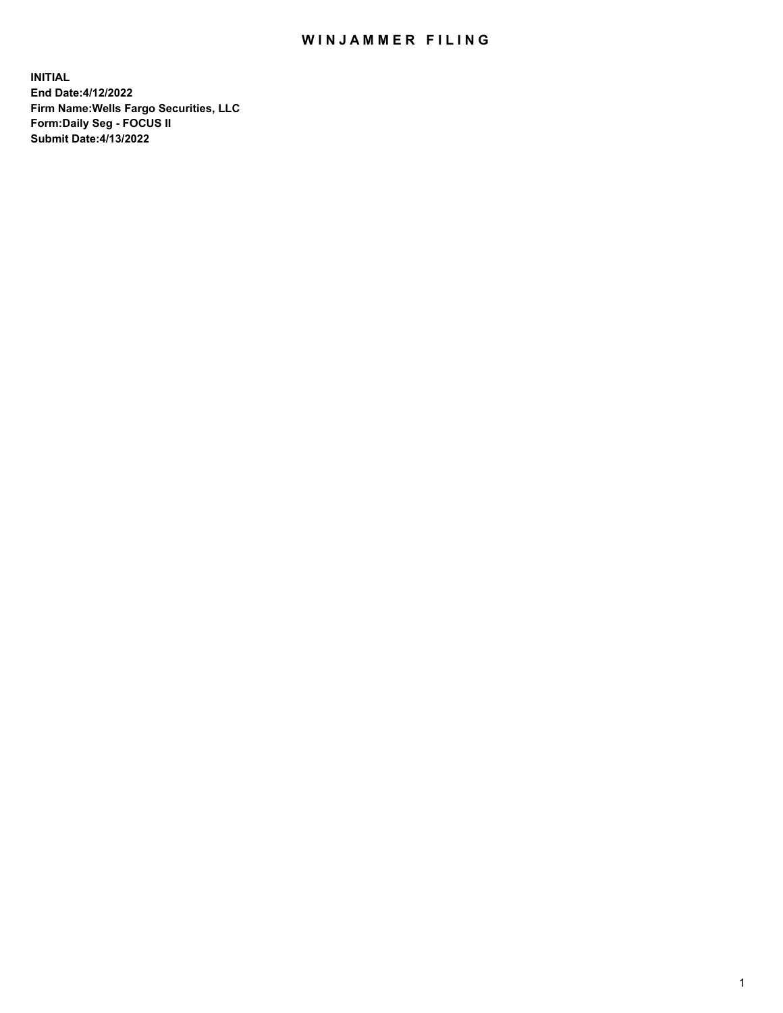## WIN JAMMER FILING

**INITIAL End Date:4/12/2022 Firm Name:Wells Fargo Securities, LLC Form:Daily Seg - FOCUS II Submit Date:4/13/2022**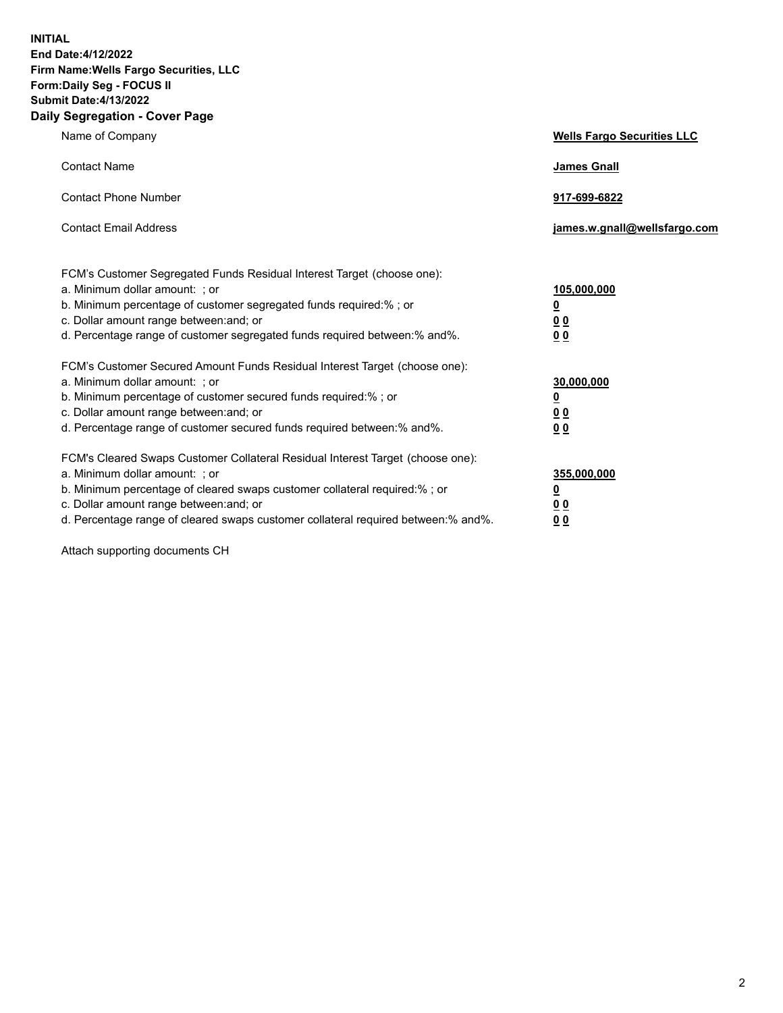**INITIAL End Date:4/12/2022 Firm Name:Wells Fargo Securities, LLC Form:Daily Seg - FOCUS II Submit Date:4/13/2022 Daily Segregation - Cover Page**

| Name of Company                                                                                                                                                                                                                                                                                                                | <b>Wells Fargo Securities LLC</b>                          |
|--------------------------------------------------------------------------------------------------------------------------------------------------------------------------------------------------------------------------------------------------------------------------------------------------------------------------------|------------------------------------------------------------|
| <b>Contact Name</b>                                                                                                                                                                                                                                                                                                            | <b>James Gnall</b>                                         |
| <b>Contact Phone Number</b>                                                                                                                                                                                                                                                                                                    | 917-699-6822                                               |
| <b>Contact Email Address</b>                                                                                                                                                                                                                                                                                                   | james.w.gnall@wellsfargo.com                               |
| FCM's Customer Segregated Funds Residual Interest Target (choose one):<br>a. Minimum dollar amount: ; or<br>b. Minimum percentage of customer segregated funds required:% ; or<br>c. Dollar amount range between: and; or<br>d. Percentage range of customer segregated funds required between:% and%.                         | 105,000,000<br><u>0</u><br>0 <sub>0</sub><br>00            |
| FCM's Customer Secured Amount Funds Residual Interest Target (choose one):<br>a. Minimum dollar amount: ; or<br>b. Minimum percentage of customer secured funds required:%; or<br>c. Dollar amount range between: and; or<br>d. Percentage range of customer secured funds required between:% and%.                            | 30,000,000<br><u>0</u><br>0 <sub>0</sub><br>0 <sub>0</sub> |
| FCM's Cleared Swaps Customer Collateral Residual Interest Target (choose one):<br>a. Minimum dollar amount: ; or<br>b. Minimum percentage of cleared swaps customer collateral required:% ; or<br>c. Dollar amount range between: and; or<br>d. Percentage range of cleared swaps customer collateral required between:% and%. | 355,000,000<br><u>0</u><br>00<br>00                        |

Attach supporting documents CH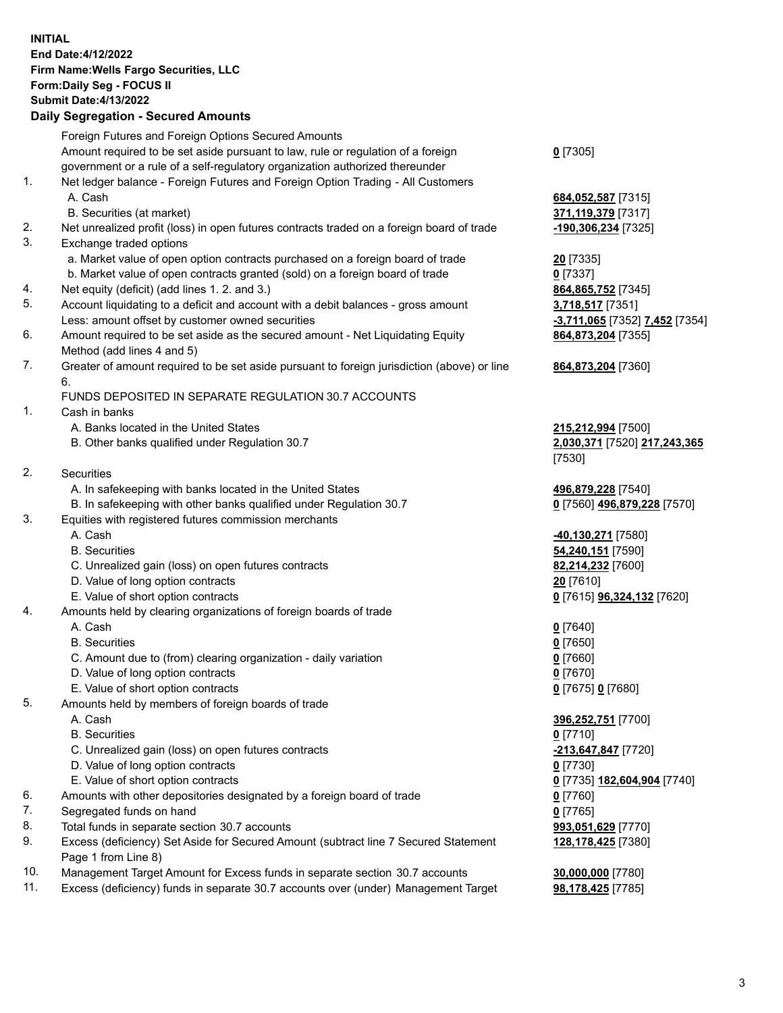**INITIAL End Date:4/12/2022 Firm Name:Wells Fargo Securities, LLC Form:Daily Seg - FOCUS II Submit Date:4/13/2022 Daily Segregation - Secured Amounts**

## Foreign Futures and Foreign Options Secured Amounts

Amount required to be set aside pursuant to law, rule or regulation of a foreign government or a rule of a self-regulatory organization authorized thereunder

- 1. Net ledger balance Foreign Futures and Foreign Option Trading All Customers A. Cash **684,052,587** [7315]
	- B. Securities (at market) **371,119,379** [7317]
- 2. Net unrealized profit (loss) in open futures contracts traded on a foreign board of trade **-190,306,234** [7325]
- 3. Exchange traded options
	- a. Market value of open option contracts purchased on a foreign board of trade **20** [7335]
	- b. Market value of open contracts granted (sold) on a foreign board of trade **0** [7337]
- 4. Net equity (deficit) (add lines 1. 2. and 3.) **864,865,752** [7345]
- 5. Account liquidating to a deficit and account with a debit balances gross amount **3,718,517** [7351] Less: amount offset by customer owned securities **-3,711,065** [7352] **7,452** [7354]
- 6. Amount required to be set aside as the secured amount Net Liquidating Equity Method (add lines 4 and 5)
- 7. Greater of amount required to be set aside pursuant to foreign jurisdiction (above) or line 6.

## FUNDS DEPOSITED IN SEPARATE REGULATION 30.7 ACCOUNTS

- 1. Cash in banks
	- A. Banks located in the United States **215,212,994** [7500]
	- B. Other banks qualified under Regulation 30.7 **2,030,371** [7520] **217,243,365**
- 2. Securities
	- A. In safekeeping with banks located in the United States **496,879,228** [7540]
- B. In safekeeping with other banks qualified under Regulation 30.7 **0** [7560] **496,879,228** [7570]
- 3. Equities with registered futures commission merchants
	-
	-
	- C. Unrealized gain (loss) on open futures contracts **82,214,232** [7600]
	- D. Value of long option contracts **20** [7610]
	- E. Value of short option contracts **0** [7615] **96,324,132** [7620]
- 4. Amounts held by clearing organizations of foreign boards of trade
	- A. Cash **0** [7640]
	- B. Securities **0** [7650]
	- C. Amount due to (from) clearing organization daily variation **0** [7660]
	- D. Value of long option contracts **0** [7670]
	- E. Value of short option contracts **0** [7675] **0** [7680]
- 5. Amounts held by members of foreign boards of trade
	-
	- B. Securities **0** [7710]
	- C. Unrealized gain (loss) on open futures contracts **-213,647,847** [7720]
	- D. Value of long option contracts **0** [7730]
	- E. Value of short option contracts **0** [7735] **182,604,904** [7740]
- 6. Amounts with other depositories designated by a foreign board of trade **0** [7760]
- 7. Segregated funds on hand **0** [7765]
- 8. Total funds in separate section 30.7 accounts **993,051,629** [7770]
- 9. Excess (deficiency) Set Aside for Secured Amount (subtract line 7 Secured Statement Page 1 from Line 8)
- 10. Management Target Amount for Excess funds in separate section 30.7 accounts **30,000,000** [7780]
- 11. Excess (deficiency) funds in separate 30.7 accounts over (under) Management Target **98,178,425** [7785]

**0** [7305]

**864,873,204** [7355]

## **864,873,204** [7360]

[7530]

 A. Cash **-40,130,271** [7580] B. Securities **54,240,151** [7590]

 A. Cash **396,252,751** [7700] **128,178,425** [7380]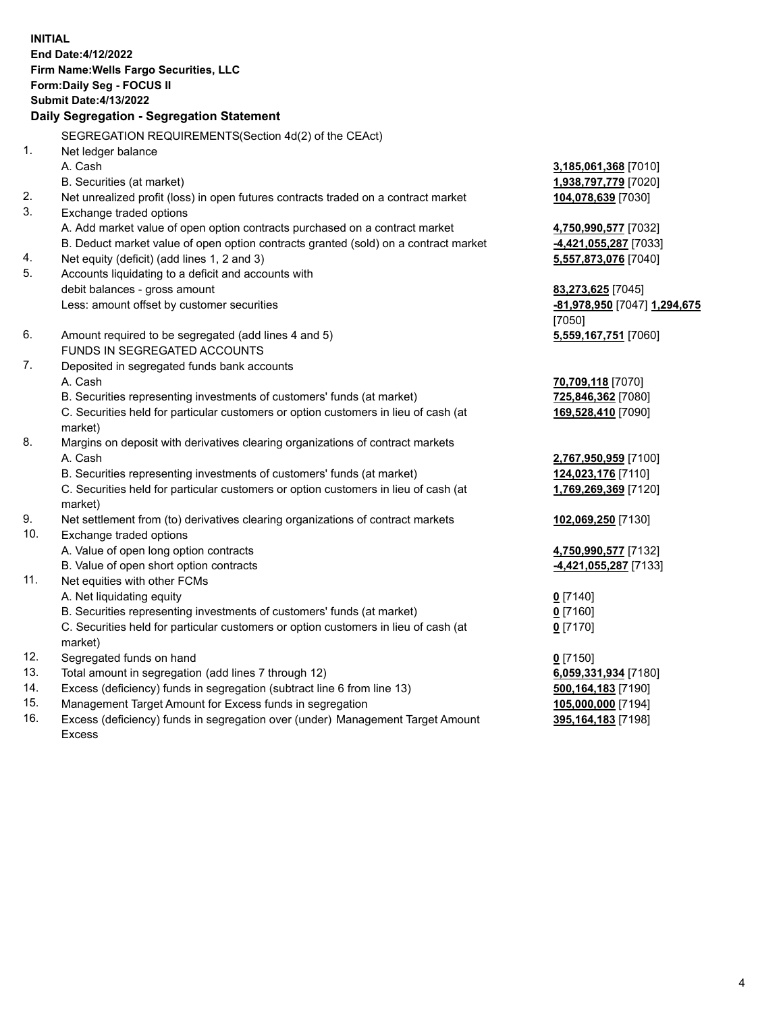**INITIAL End Date:4/12/2022 Firm Name:Wells Fargo Securities, LLC Form:Daily Seg - FOCUS II Submit Date:4/13/2022 Daily Segregation - Segregation Statement** SEGREGATION REQUIREMENTS(Section 4d(2) of the CEAct) 1. Net ledger balance A. Cash **3,185,061,368** [7010] B. Securities (at market) **1,938,797,779** [7020] 2. Net unrealized profit (loss) in open futures contracts traded on a contract market **104,078,639** [7030] 3. Exchange traded options A. Add market value of open option contracts purchased on a contract market **4,750,990,577** [7032] B. Deduct market value of open option contracts granted (sold) on a contract market **-4,421,055,287** [7033] 4. Net equity (deficit) (add lines 1, 2 and 3) **5,557,873,076** [7040] 5. Accounts liquidating to a deficit and accounts with debit balances - gross amount **83,273,625** [7045] Less: amount offset by customer securities **-81,978,950** [7047] **1,294,675** [7050] 6. Amount required to be segregated (add lines 4 and 5) **5,559,167,751** [7060] FUNDS IN SEGREGATED ACCOUNTS 7. Deposited in segregated funds bank accounts A. Cash **70,709,118** [7070] B. Securities representing investments of customers' funds (at market) **725,846,362** [7080] C. Securities held for particular customers or option customers in lieu of cash (at market) **169,528,410** [7090] 8. Margins on deposit with derivatives clearing organizations of contract markets A. Cash **2,767,950,959** [7100] B. Securities representing investments of customers' funds (at market) **124,023,176** [7110] C. Securities held for particular customers or option customers in lieu of cash (at market) **1,769,269,369** [7120] 9. Net settlement from (to) derivatives clearing organizations of contract markets **102,069,250** [7130] 10. Exchange traded options A. Value of open long option contracts **4,750,990,577** [7132] B. Value of open short option contracts **-4,421,055,287** [7133] 11. Net equities with other FCMs A. Net liquidating equity **0** [7140] B. Securities representing investments of customers' funds (at market) **0** [7160] C. Securities held for particular customers or option customers in lieu of cash (at market) **0** [7170] 12. Segregated funds on hand **0** [7150] 13. Total amount in segregation (add lines 7 through 12) **6,059,331,934** [7180]

- 14. Excess (deficiency) funds in segregation (subtract line 6 from line 13) **500,164,183** [7190]
- 15. Management Target Amount for Excess funds in segregation **105,000,000** [7194]
- 16. Excess (deficiency) funds in segregation over (under) Management Target Amount Excess

**395,164,183** [7198]